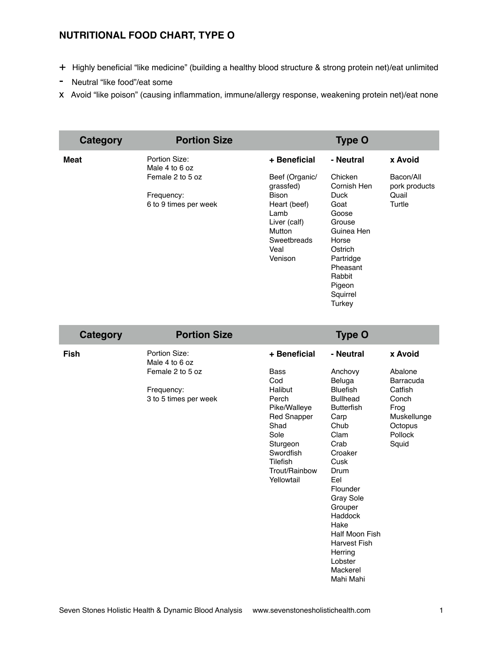## **NUTRITIONAL FOOD CHART, TYPE O**

- + Highly beneficial "like medicine" (building a healthy blood structure & strong protein net)/eat unlimited
- Neutral "like food"/eat some
- x Avoid "like poison" (causing inflammation, immune/allergy response, weakening protein net)/eat none

| Category    | <b>Portion Size</b>                                                                        |                                                                                                                                                 | <b>Type O</b>                                                                                                                                         |                                                          |
|-------------|--------------------------------------------------------------------------------------------|-------------------------------------------------------------------------------------------------------------------------------------------------|-------------------------------------------------------------------------------------------------------------------------------------------------------|----------------------------------------------------------|
| <b>Meat</b> | Portion Size:<br>Male 4 to 6 oz<br>Female 2 to 5 oz<br>Frequency:<br>6 to 9 times per week | + Beneficial<br>Beef (Organic/<br>grassfed)<br><b>Bison</b><br>Heart (beef)<br>Lamb<br>Liver (calf)<br>Mutton<br>Sweetbreads<br>Veal<br>Venison | - Neutral<br>Chicken<br>Cornish Hen<br>Duck<br>Goat<br>Goose<br>Grouse<br>Guinea Hen<br>Horse<br>Ostrich<br>Partridge<br>Pheasant<br>Rabbit<br>Pigeon | x Avoid<br>Bacon/All<br>pork products<br>Quail<br>Turtle |
|             |                                                                                            |                                                                                                                                                 | Squirrel<br>Turkey                                                                                                                                    |                                                          |

| Category    | <b>Portion Size</b>                 |                                                                                                                                            | <b>Type O</b>                                                                                                                                                                                                                                                                   |                                                                        |
|-------------|-------------------------------------|--------------------------------------------------------------------------------------------------------------------------------------------|---------------------------------------------------------------------------------------------------------------------------------------------------------------------------------------------------------------------------------------------------------------------------------|------------------------------------------------------------------------|
| <b>Fish</b> | Portion Size:<br>Male 4 to 6 oz     | + Beneficial                                                                                                                               | - Neutral                                                                                                                                                                                                                                                                       | x Avoid                                                                |
|             | Female 2 to 5 oz                    | <b>Bass</b><br>Cod                                                                                                                         | Anchovy<br>Beluga                                                                                                                                                                                                                                                               | Abalone<br>Barracuda                                                   |
|             | Frequency:<br>3 to 5 times per week | Halibut<br>Perch<br>Pike/Walleye<br><b>Red Snapper</b><br>Shad<br>Sole<br>Sturgeon<br>Swordfish<br>Tilefish<br>Trout/Rainbow<br>Yellowtail | <b>Bluefish</b><br><b>Bullhead</b><br><b>Butterfish</b><br>Carp<br>Chub<br>Clam<br>Crab<br>Croaker<br>Cusk<br>Drum<br>Eel<br>Flounder<br><b>Gray Sole</b><br>Grouper<br>Haddock<br>Hake<br>Half Moon Fish<br><b>Harvest Fish</b><br>Herring<br>Lobster<br>Mackerel<br>Mahi Mahi | Catfish<br>Conch<br>Frog<br>Muskellunge<br>Octopus<br>Pollock<br>Squid |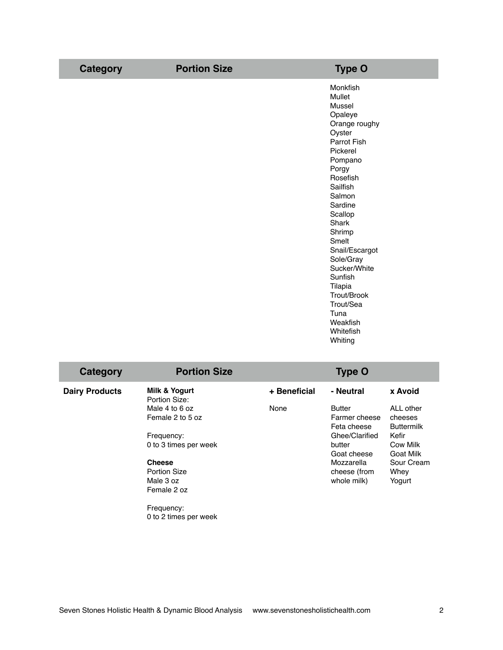| <b>Category</b> | <b>Portion Size</b> | <b>Type O</b>             |
|-----------------|---------------------|---------------------------|
|                 |                     | Monkfish                  |
|                 |                     | Mullet<br>Mussel          |
|                 |                     | Opaleye                   |
|                 |                     | Orange roughy             |
|                 |                     | Oyster                    |
|                 |                     | Parrot Fish               |
|                 |                     | Pickerel                  |
|                 |                     | Pompano                   |
|                 |                     | Porgy                     |
|                 |                     | Rosefish                  |
|                 |                     | Sailfish                  |
|                 |                     | Salmon                    |
|                 |                     | Sardine                   |
|                 |                     | Scallop                   |
|                 |                     | Shark                     |
|                 |                     | Shrimp                    |
|                 |                     | Smelt                     |
|                 |                     | Snail/Escargot            |
|                 |                     | Sole/Gray<br>Sucker/White |
|                 |                     | Sunfish                   |
|                 |                     | Tilapia                   |
|                 |                     | Trout/Brook               |
|                 |                     | Trout/Sea                 |
|                 |                     | Tuna                      |
|                 |                     | Weakfish                  |
|                 |                     | Whitefish                 |
|                 |                     |                           |

| Category              | <b>Portion Size</b>                                              |              | <b>Type O</b>                                 |                                           |
|-----------------------|------------------------------------------------------------------|--------------|-----------------------------------------------|-------------------------------------------|
| <b>Dairy Products</b> | Milk & Yogurt<br>Portion Size:                                   | + Beneficial | - Neutral                                     | x Avoid                                   |
|                       | Male 4 to 6 oz<br>Female 2 to 5 oz                               | None         | <b>Butter</b><br>Farmer cheese<br>Feta cheese | ALL other<br>cheeses<br><b>Buttermilk</b> |
|                       | Frequency:<br>0 to 3 times per week                              |              | Ghee/Clarified<br>butter<br>Goat cheese       | Kefir<br>Cow Milk<br>Goat Milk            |
|                       | <b>Cheese</b><br><b>Portion Size</b><br>Male 3 oz<br>Female 2 oz |              | Mozzarella<br>cheese (from<br>whole milk)     | Sour Cream<br>Whey<br>Yogurt              |
|                       | Frequency:<br>0 to 2 times per week                              |              |                                               |                                           |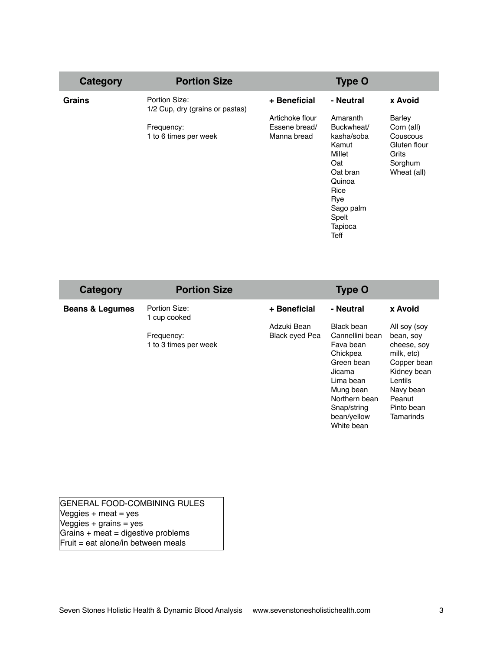| Category      | <b>Portion Size</b>                              |                 | <b>Type O</b> |               |
|---------------|--------------------------------------------------|-----------------|---------------|---------------|
| <b>Grains</b> | Portion Size:<br>1/2 Cup, dry (grains or pastas) | + Beneficial    | - Neutral     | x Avoid       |
|               |                                                  | Artichoke flour | Amaranth      | <b>Barley</b> |
|               | Frequency:                                       | Essene bread/   | Buckwheat/    | Corn (all)    |
|               | 1 to 6 times per week                            | Manna bread     | kasha/soba    | Couscous      |
|               |                                                  |                 | Kamut         | Gluten flour  |
|               |                                                  |                 | Millet        | Grits         |
|               |                                                  |                 | Oat           | Sorghum       |
|               |                                                  |                 | Oat bran      | Wheat (all)   |
|               |                                                  |                 | Quinoa        |               |
|               |                                                  |                 | Rice          |               |
|               |                                                  |                 | Rye           |               |
|               |                                                  |                 | Sago palm     |               |
|               |                                                  |                 | Spelt         |               |
|               |                                                  |                 | Tapioca       |               |
|               |                                                  |                 | Teff          |               |

| Category                   | <b>Portion Size</b>                 |                | <b>Type O</b>                                                                                                                                           |                                                                                                                                   |
|----------------------------|-------------------------------------|----------------|---------------------------------------------------------------------------------------------------------------------------------------------------------|-----------------------------------------------------------------------------------------------------------------------------------|
| <b>Beans &amp; Legumes</b> | Portion Size:<br>1 cup cooked       | + Beneficial   | - Neutral                                                                                                                                               | x Avoid                                                                                                                           |
|                            |                                     | Adzuki Bean    | Black bean                                                                                                                                              | All soy (soy                                                                                                                      |
|                            | Frequency:<br>1 to 3 times per week | Black eyed Pea | Cannellini bean<br>Fava bean<br>Chickpea<br>Green bean<br>Jicama<br>Lima bean<br>Mung bean<br>Northern bean<br>Snap/string<br>bean/yellow<br>White bean | bean, soy<br>cheese, soy<br>milk, etc)<br>Copper bean<br>Kidney bean<br>Lentils<br>Navy bean<br>Peanut<br>Pinto bean<br>Tamarinds |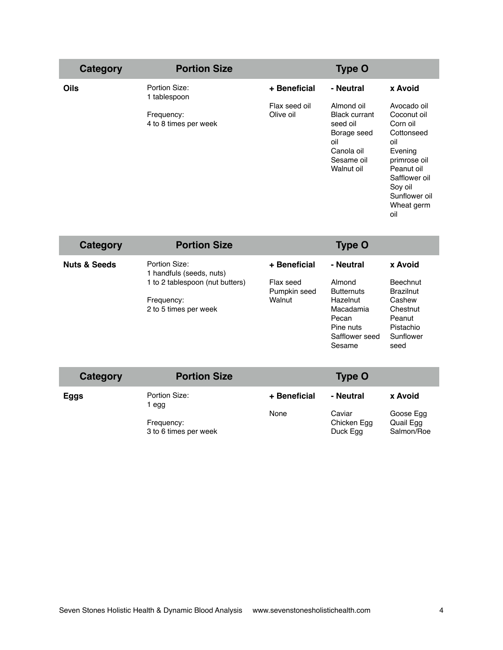| Category    | <b>Portion Size</b>                 |                            | <b>Type O</b>                                                                                                  |                                                                                                                                                                        |
|-------------|-------------------------------------|----------------------------|----------------------------------------------------------------------------------------------------------------|------------------------------------------------------------------------------------------------------------------------------------------------------------------------|
| <b>Oils</b> | Portion Size:<br>1 tablespoon       | + Beneficial               | - Neutral                                                                                                      | x Avoid                                                                                                                                                                |
|             | Frequency:<br>4 to 8 times per week | Flax seed oil<br>Olive oil | Almond oil<br><b>Black currant</b><br>seed oil<br>Borage seed<br>oil<br>Canola oil<br>Sesame oil<br>Walnut oil | Avocado oil<br>Coconut oil<br>Corn oil<br>Cottonseed<br>oil<br>Evening<br>primrose oil<br>Peanut oil<br>Safflower oil<br>Soy oil<br>Sunflower oil<br>Wheat germ<br>oil |

| Category                | <b>Portion Size</b>                       |                           | <b>Type O</b>               |                                     |
|-------------------------|-------------------------------------------|---------------------------|-----------------------------|-------------------------------------|
| <b>Nuts &amp; Seeds</b> | Portion Size:<br>1 handfuls (seeds, nuts) | + Beneficial              | - Neutral                   | x Avoid                             |
|                         | 1 to 2 tablespoon (nut butters)           | Flax seed<br>Pumpkin seed | Almond<br><b>Butternuts</b> | <b>Beechnut</b><br><b>Brazilnut</b> |
|                         | Frequency:                                | Walnut                    | Hazelnut                    | Cashew                              |
|                         | 2 to 5 times per week                     |                           | Macadamia                   | Chestnut                            |
|                         |                                           |                           | Pecan                       | Peanut                              |
|                         |                                           |                           | Pine nuts                   | Pistachio                           |
|                         |                                           |                           | Safflower seed              | Sunflower                           |
|                         |                                           |                           | Sesame                      | seed                                |

| Category    | <b>Portion Size</b>                 |              | <b>Type O</b>                     |                                      |
|-------------|-------------------------------------|--------------|-----------------------------------|--------------------------------------|
| <b>Eggs</b> | Portion Size:<br>egg                | + Beneficial | - Neutral                         | x Avoid                              |
|             | Frequency:<br>3 to 6 times per week | None         | Caviar<br>Chicken Egg<br>Duck Egg | Goose Egg<br>Quail Egg<br>Salmon/Roe |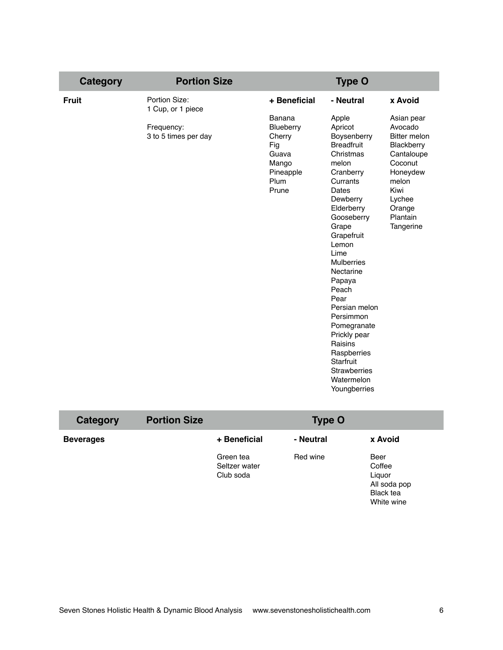| <b>Category</b> | <b>Portion Size</b>                |                                                                            | <b>Type O</b>                                                                                                                                                                                                                                                                                                                                                                                             |                                                                                                                                          |
|-----------------|------------------------------------|----------------------------------------------------------------------------|-----------------------------------------------------------------------------------------------------------------------------------------------------------------------------------------------------------------------------------------------------------------------------------------------------------------------------------------------------------------------------------------------------------|------------------------------------------------------------------------------------------------------------------------------------------|
| <b>Fruit</b>    | Portion Size:<br>1 Cup, or 1 piece | + Beneficial<br>Banana                                                     | - Neutral<br>Apple                                                                                                                                                                                                                                                                                                                                                                                        | x Avoid<br>Asian pear                                                                                                                    |
|                 | Frequency:<br>3 to 5 times per day | Blueberry<br>Cherry<br>Fig<br>Guava<br>Mango<br>Pineapple<br>Plum<br>Prune | Apricot<br>Boysenberry<br><b>Breadfruit</b><br>Christmas<br>melon<br>Cranberry<br>Currants<br>Dates<br>Dewberry<br>Elderberry<br>Gooseberry<br>Grape<br>Grapefruit<br>Lemon<br>Lime<br><b>Mulberries</b><br>Nectarine<br>Papaya<br>Peach<br>Pear<br>Persian melon<br>Persimmon<br>Pomegranate<br>Prickly pear<br>Raisins<br>Raspberries<br>Starfruit<br><b>Strawberries</b><br>Watermelon<br>Youngberries | Avocado<br>Bitter melon<br>Blackberry<br>Cantaloupe<br>Coconut<br>Honeydew<br>melon<br>Kiwi<br>Lychee<br>Orange<br>Plantain<br>Tangerine |

| Category         | <b>Portion Size</b> |                                         | <b>Type O</b> |                                                                            |
|------------------|---------------------|-----------------------------------------|---------------|----------------------------------------------------------------------------|
| <b>Beverages</b> |                     | + Beneficial                            | - Neutral     | x Avoid                                                                    |
|                  |                     | Green tea<br>Seltzer water<br>Club soda | Red wine      | Beer<br>Coffee<br>Liquor<br>All soda pop<br><b>Black tea</b><br>White wine |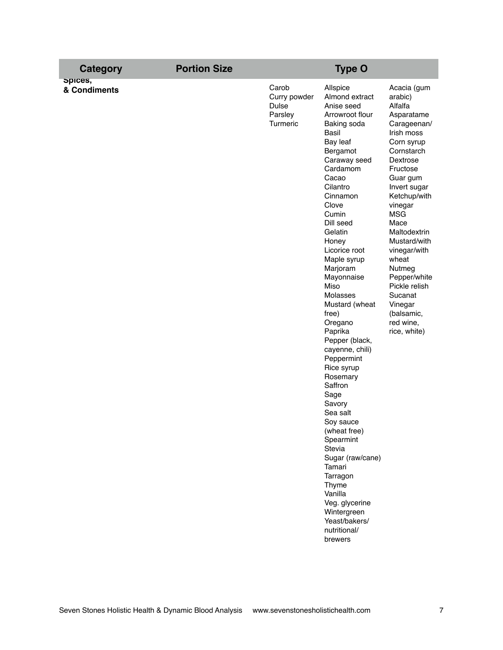| <b>Category</b>         | <b>Portion Size</b> | <b>Type O</b>                                                |                                                                                                                                                                                                                                                                                                                                                                                                                                                                                                                                                                                                                                                                                 |                                                                                                                                                                                                                                                                                                                                                                                    |
|-------------------------|---------------------|--------------------------------------------------------------|---------------------------------------------------------------------------------------------------------------------------------------------------------------------------------------------------------------------------------------------------------------------------------------------------------------------------------------------------------------------------------------------------------------------------------------------------------------------------------------------------------------------------------------------------------------------------------------------------------------------------------------------------------------------------------|------------------------------------------------------------------------------------------------------------------------------------------------------------------------------------------------------------------------------------------------------------------------------------------------------------------------------------------------------------------------------------|
| opices,<br>& Condiments |                     | Carob<br>Curry powder<br><b>Dulse</b><br>Parsley<br>Turmeric | Allspice<br>Almond extract<br>Anise seed<br>Arrowroot flour<br>Baking soda<br>Basil<br>Bay leaf<br>Bergamot<br>Caraway seed<br>Cardamom<br>Cacao<br>Cilantro<br>Cinnamon<br>Clove<br>Cumin<br>Dill seed<br>Gelatin<br>Honey<br>Licorice root<br>Maple syrup<br>Marjoram<br>Mayonnaise<br>Miso<br>Molasses<br>Mustard (wheat<br>free)<br>Oregano<br>Paprika<br>Pepper (black,<br>cayenne, chili)<br>Peppermint<br>Rice syrup<br>Rosemary<br>Saffron<br>Sage<br>Savory<br>Sea salt<br>Soy sauce<br>(wheat free)<br>Spearmint<br>Stevia<br>Sugar (raw/cane)<br>Tamari<br>Tarragon<br>Thyme<br>Vanilla<br>Veg. glycerine<br>Wintergreen<br>Yeast/bakers/<br>nutritional/<br>brewers | Acacia (gum<br>arabic)<br>Alfalfa<br>Asparatame<br>Carageenan/<br>Irish moss<br>Corn syrup<br>Cornstarch<br>Dextrose<br>Fructose<br>Guar gum<br>Invert sugar<br>Ketchup/with<br>vinegar<br><b>MSG</b><br>Mace<br>Maltodextrin<br>Mustard/with<br>vinegar/with<br>wheat<br>Nutmeg<br>Pepper/white<br>Pickle relish<br>Sucanat<br>Vinegar<br>(balsamic,<br>red wine,<br>rice, white) |